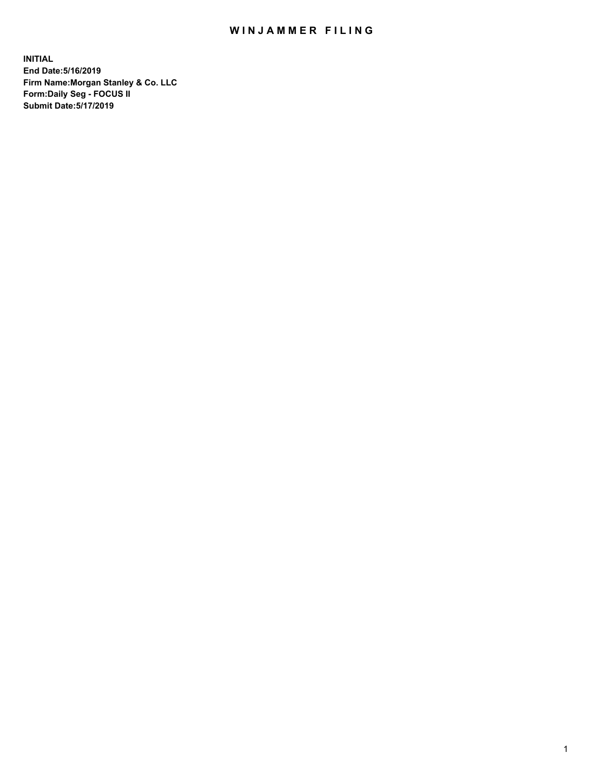## WIN JAMMER FILING

**INITIAL End Date:5/16/2019 Firm Name:Morgan Stanley & Co. LLC Form:Daily Seg - FOCUS II Submit Date:5/17/2019**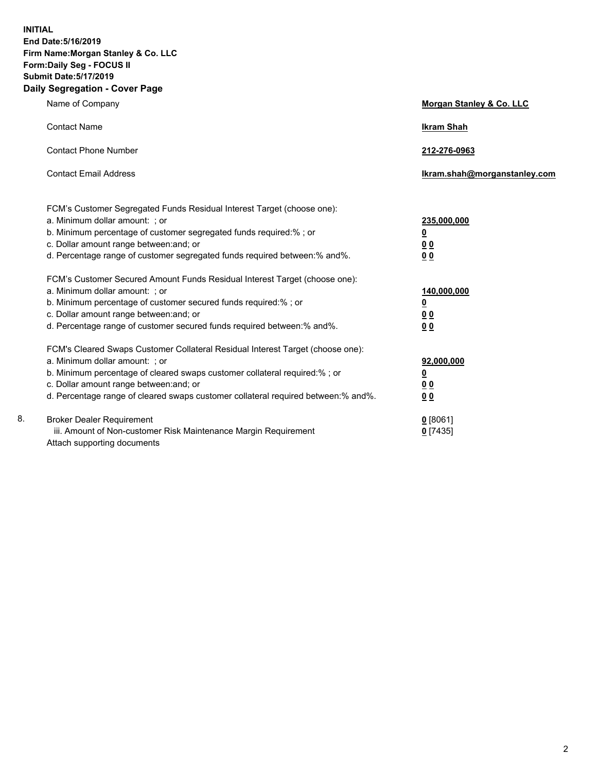**INITIAL End Date:5/16/2019 Firm Name:Morgan Stanley & Co. LLC Form:Daily Seg - FOCUS II Submit Date:5/17/2019 Daily Segregation - Cover Page**

|    | Name of Company                                                                   | <b>Morgan Stanley &amp; Co. LLC</b> |
|----|-----------------------------------------------------------------------------------|-------------------------------------|
|    | <b>Contact Name</b>                                                               | <b>Ikram Shah</b>                   |
|    | <b>Contact Phone Number</b>                                                       | 212-276-0963                        |
|    | <b>Contact Email Address</b>                                                      | Ikram.shah@morganstanley.com        |
|    | FCM's Customer Segregated Funds Residual Interest Target (choose one):            |                                     |
|    | a. Minimum dollar amount: ; or                                                    | 235,000,000                         |
|    | b. Minimum percentage of customer segregated funds required:% ; or                | $\overline{\mathbf{0}}$             |
|    | c. Dollar amount range between: and; or                                           | 0 <sub>0</sub>                      |
|    | d. Percentage range of customer segregated funds required between:% and%.         | 0 <sub>0</sub>                      |
|    | FCM's Customer Secured Amount Funds Residual Interest Target (choose one):        |                                     |
|    | a. Minimum dollar amount: ; or                                                    | 140,000,000                         |
|    | b. Minimum percentage of customer secured funds required:%; or                    | <u>0</u>                            |
|    | c. Dollar amount range between: and; or                                           | 0 <sub>0</sub>                      |
|    | d. Percentage range of customer secured funds required between:% and%.            | 0 <sub>0</sub>                      |
|    | FCM's Cleared Swaps Customer Collateral Residual Interest Target (choose one):    |                                     |
|    | a. Minimum dollar amount: ; or                                                    | 92,000,000                          |
|    | b. Minimum percentage of cleared swaps customer collateral required:% ; or        | <u>0</u>                            |
|    | c. Dollar amount range between: and; or                                           | <u>00</u>                           |
|    | d. Percentage range of cleared swaps customer collateral required between:% and%. | 0 <sub>0</sub>                      |
| 8. | <b>Broker Dealer Requirement</b>                                                  | $0$ [8061]                          |
|    | iii. Amount of Non-customer Risk Maintenance Margin Requirement                   | $0$ [7435]                          |
|    | Attach supporting documents                                                       |                                     |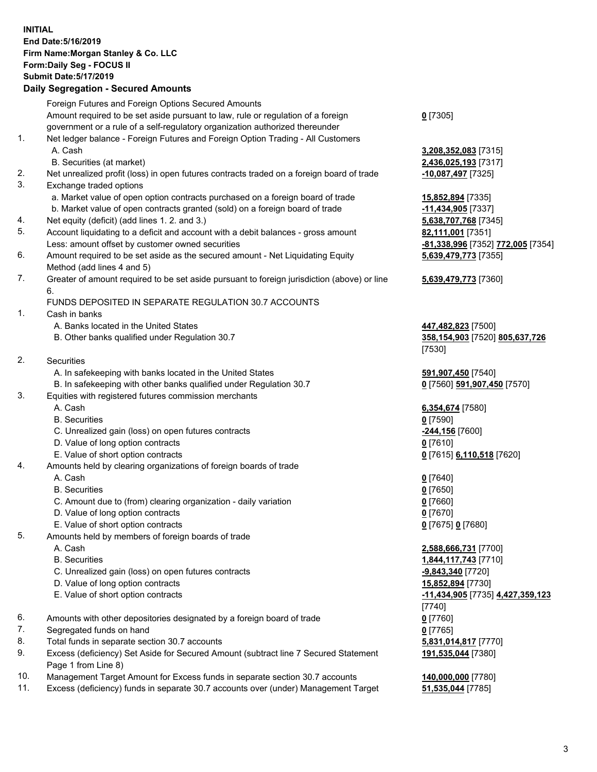## **INITIAL End Date:5/16/2019 Firm Name:Morgan Stanley & Co. LLC Form:Daily Seg - FOCUS II Submit Date:5/17/2019 Daily Segregation - Secured Amounts**

|                | Foreign Futures and Foreign Options Secured Amounts                                         |                                     |
|----------------|---------------------------------------------------------------------------------------------|-------------------------------------|
|                | Amount required to be set aside pursuant to law, rule or regulation of a foreign            | $0$ [7305]                          |
|                | government or a rule of a self-regulatory organization authorized thereunder                |                                     |
| 1.             | Net ledger balance - Foreign Futures and Foreign Option Trading - All Customers             |                                     |
|                | A. Cash                                                                                     | 3,208,352,083 [7315]                |
|                | B. Securities (at market)                                                                   | 2,436,025,193 [7317]                |
| 2.             | Net unrealized profit (loss) in open futures contracts traded on a foreign board of trade   | <u>-10,087,497</u> [7325]           |
| 3.             | Exchange traded options                                                                     |                                     |
|                | a. Market value of open option contracts purchased on a foreign board of trade              | 15,852,894 [7335]                   |
|                | b. Market value of open contracts granted (sold) on a foreign board of trade                | -11,434,905 [7337]                  |
| 4.             | Net equity (deficit) (add lines 1.2. and 3.)                                                | 5,638,707,768 [7345]                |
| 5.             | Account liquidating to a deficit and account with a debit balances - gross amount           | 82,111,001 [7351]                   |
|                | Less: amount offset by customer owned securities                                            | -81,338,996 [7352] 7                |
| 6.             | Amount required to be set aside as the secured amount - Net Liquidating Equity              | 5,639,479,773 [7355]                |
|                | Method (add lines 4 and 5)                                                                  |                                     |
| 7.             | Greater of amount required to be set aside pursuant to foreign jurisdiction (above) or line | 5,639,479,773 [7360]                |
|                | 6.                                                                                          |                                     |
|                | FUNDS DEPOSITED IN SEPARATE REGULATION 30.7 ACCOUNTS                                        |                                     |
| 1.             | Cash in banks                                                                               |                                     |
|                | A. Banks located in the United States                                                       | 447,482,823 [7500]                  |
|                | B. Other banks qualified under Regulation 30.7                                              | 358,154,903 [7520] 8                |
|                |                                                                                             | [7530]                              |
| 2.             | Securities                                                                                  |                                     |
|                | A. In safekeeping with banks located in the United States                                   | 591,907,450 [7540]                  |
|                | B. In safekeeping with other banks qualified under Regulation 30.7                          | 0 [7560] 591,907,450                |
| 3.             | Equities with registered futures commission merchants                                       |                                     |
|                | A. Cash                                                                                     | 6,354,674 [7580]                    |
|                | <b>B.</b> Securities                                                                        | $0$ [7590]                          |
|                | C. Unrealized gain (loss) on open futures contracts                                         | -244,156 [7600]                     |
|                | D. Value of long option contracts                                                           | $0$ [7610]                          |
|                | E. Value of short option contracts                                                          | 0 [7615] 6,110,518 [7               |
| 4.             | Amounts held by clearing organizations of foreign boards of trade                           |                                     |
|                | A. Cash                                                                                     | $0$ [7640]                          |
|                | <b>B.</b> Securities                                                                        | $0$ [7650]                          |
|                | C. Amount due to (from) clearing organization - daily variation                             | $0$ [7660]                          |
|                | D. Value of long option contracts                                                           | $0$ [7670]                          |
|                | E. Value of short option contracts                                                          | 0 [7675] 0 [7680]                   |
| 5.             | Amounts held by members of foreign boards of trade                                          |                                     |
|                | A. Cash                                                                                     | 2,588,666,731 [7700]                |
|                | <b>B.</b> Securities                                                                        | 1,844,117,743 [7710]                |
|                | C. Unrealized gain (loss) on open futures contracts                                         | -9,843,340 [7720]                   |
|                | D. Value of long option contracts                                                           | 15,852,894 [7730]                   |
|                | E. Value of short option contracts                                                          |                                     |
|                |                                                                                             | <u>-11,434,905</u> [7735] <u>4.</u> |
| 6.             |                                                                                             | [7740]                              |
|                | Amounts with other depositories designated by a foreign board of trade                      | $0$ [7760]                          |
| 7.             | Segregated funds on hand                                                                    | $0$ [7765]                          |
| 8.<br>9.       | Total funds in separate section 30.7 accounts                                               | 5,831,014,817 [7770]                |
|                | Excess (deficiency) Set Aside for Secured Amount (subtract line 7 Secured Statement         | 191,535,044 [7380]                  |
| $\overline{a}$ | Page 1 from Line 8)                                                                         |                                     |

- 10. Management Target Amount for Excess funds in separate section 30.7 accounts **140,000,000** [7780]
- 11. Excess (deficiency) funds in separate 30.7 accounts over (under) Management Target **51,535,044** [7785]

**2,083** [7315] **5,193** [7317]

Less: amount offset by customer owned securities **-81,338,996** [7352] **772,005** [7354] **5,639,479,773** [7355]

## **5,639,479,773** [7360]

B. Other banks qualified under Regulation 30.7 **358,154,903** [7520] **805,637,726**

**591,907,450** [7570]

E. Value of short option contracts **0** [7615] **6,110,518** [7620]

 A. Cash **2,588,666,731** [7700] B. Securities **1,844,117,743** [7710] E. Value of short option contracts **-11,434,905** [7735] **4,427,359,123 044** [7380]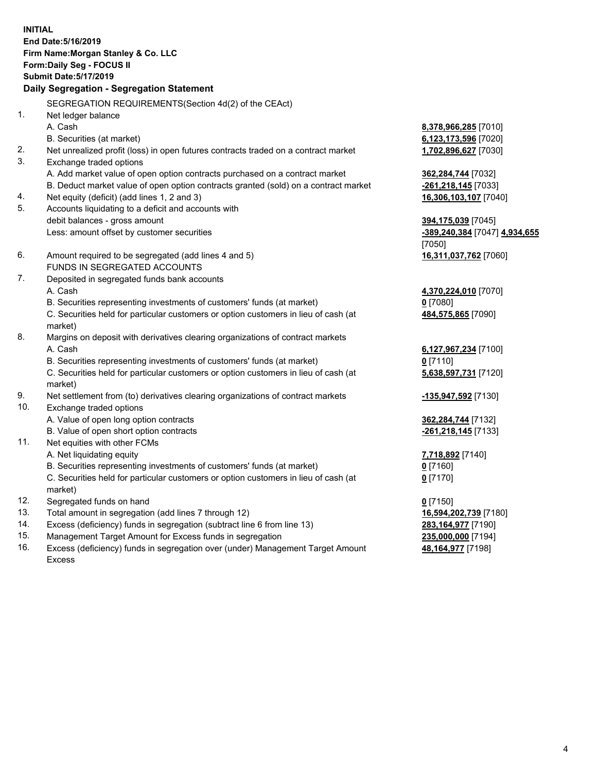**INITIAL End Date:5/16/2019 Firm Name:Morgan Stanley & Co. LLC Form:Daily Seg - FOCUS II Submit Date:5/17/2019 Daily Segregation - Segregation Statement** SEGREGATION REQUIREMENTS(Section 4d(2) of the CEAct) 1. Net ledger balance A. Cash **8,378,966,285** [7010] B. Securities (at market) **6,123,173,596** [7020] 2. Net unrealized profit (loss) in open futures contracts traded on a contract market **1,702,896,627** [7030] 3. Exchange traded options A. Add market value of open option contracts purchased on a contract market **362,284,744** [7032] B. Deduct market value of open option contracts granted (sold) on a contract market **-261,218,145** [7033] 4. Net equity (deficit) (add lines 1, 2 and 3) **16,306,103,107** [7040] 5. Accounts liquidating to a deficit and accounts with debit balances - gross amount **394,175,039** [7045] Less: amount offset by customer securities **-389,240,384** [7047] **4,934,655** [7050] 6. Amount required to be segregated (add lines 4 and 5) **16,311,037,762** [7060] FUNDS IN SEGREGATED ACCOUNTS 7. Deposited in segregated funds bank accounts A. Cash **4,370,224,010** [7070] B. Securities representing investments of customers' funds (at market) **0** [7080] C. Securities held for particular customers or option customers in lieu of cash (at market) **484,575,865** [7090] 8. Margins on deposit with derivatives clearing organizations of contract markets A. Cash **6,127,967,234** [7100] B. Securities representing investments of customers' funds (at market) **0** [7110] C. Securities held for particular customers or option customers in lieu of cash (at market) **5,638,597,731** [7120] 9. Net settlement from (to) derivatives clearing organizations of contract markets **-135,947,592** [7130] 10. Exchange traded options A. Value of open long option contracts **362,284,744** [7132] B. Value of open short option contracts **-261,218,145** [7133] 11. Net equities with other FCMs A. Net liquidating equity **7,718,892** [7140] B. Securities representing investments of customers' funds (at market) **0** [7160] C. Securities held for particular customers or option customers in lieu of cash (at market) **0** [7170] 12. Segregated funds on hand **0** [7150] 13. Total amount in segregation (add lines 7 through 12) **16,594,202,739** [7180] 14. Excess (deficiency) funds in segregation (subtract line 6 from line 13) **283,164,977** [7190]

- 15. Management Target Amount for Excess funds in segregation **235,000,000** [7194]
- 16. Excess (deficiency) funds in segregation over (under) Management Target Amount Excess

**48,164,977** [7198]